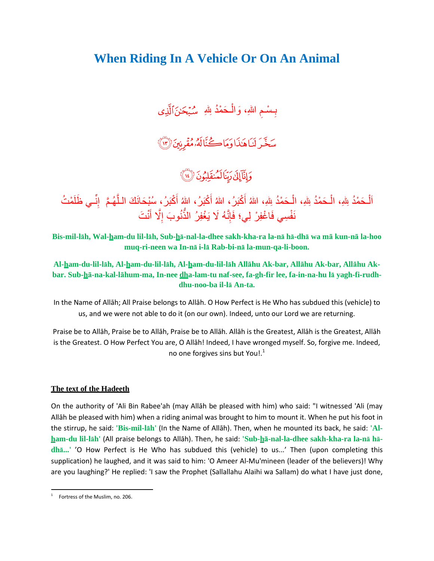### **When Riding In A Vehicle Or On An Animal**

بِـسْـمِ اللهِ، وَالْـحَمْدُ لِللهِ ۚ سُـُبْحَـٰنَ1َلَّذِى ĺ

## سَخَّرَ لَنَاهَٰذَا وَمَاڪُنَّالَهُۥمُقَرِنِينَ (٣)

## وَإِنَّآَإِلَىٰ دِينَا لَمُنقَلِبُونَ (١٤

اَلْـحَمْدُ لِلهِ، الْـحَمْدُ لِلهِ، الْـحَمْدُ لِلهِ، اللهُ أَكْبَرُ، اللهُ أَكْبَرُ، اللهُ أَكْبَرُ، سُبْحَانَكَ الْـلَّـهُمَّ ۖ إِنِّــي ظَلَمْتُ ĺ ĺ j َ َ َّ ļ نَفْسِي فَاغْفِرْ لِي؛ فَإِنَّهُ لَا يَغْفِرُ الذَّنُوبَ إِلَّا أَنْتَ ļ  $\frac{1}{2}$ ُّ َ

**Bis-mil-lāh, Wal-ham-du lil-lāh, Sub-hā-nal-la-dhee sakh-kha-ra la-nā hā-dhā wa mā kun-nā la-hoo muq-ri-neen wa In-nā i-lā Rab-bi-nā la-mun-qa-li-boon.**

**Al-ham-du-lil-lāh, Al-ham-du-lil-lāh, Al-ham-du-lil-lāh Allāhu Ak-bar, Allāhu Ak-bar, Allāhu Akbar. Sub-hā-na-kal-lāhum-ma, In-nee dha-lam-tu naf-see, fa-gh-fir lee, fa-in-na-hu lā yagh-fi-rudhdhu-noo-ba il-lā An-ta.** 

In the Name of Allāh; All Praise belongs to Allāh. O How Perfect is He Who has subdued this (vehicle) to us, and we were not able to do it (on our own). Indeed, unto our Lord we are returning.

Praise be to Allāh, Praise be to Allāh, Praise be to Allāh. Allāh is the Greatest, Allāh is the Greatest, Allāh is the Greatest. O How Perfect You are, O Allāh! Indeed, I have wronged myself. So, forgive me. Indeed, no one forgives sins but You!. $<sup>1</sup>$ </sup>

#### **The text of the Hadeeth**

On the authority of 'Ali Bin Rabee'ah (may Allāh be pleased with him) who said: "I witnessed 'Ali (may Allāh be pleased with him) when a riding animal was brought to him to mount it. When he put his foot in the stirrup, he said: **'Bis-mil-lāh'** (In the Name of Allāh). Then, when he mounted its back, he said: **'Alham-du lil-lāh'** (All praise belongs to Allāh). Then, he said: **'Sub-hā-nal-la-dhee sakh-kha-ra la-nā hādhā...'** 'O How Perfect is He Who has subdued this (vehicle) to us...' Then (upon completing this supplication) he laughed, and it was said to him: 'O Ameer Al-Mu'mineen (leader of the believers)! Why are you laughing?' He replied: 'I saw the Prophet (Sallallahu Alaihi wa Sallam) do what I have just done,

 $\frac{1}{1}$ Fortress of the Muslim, no. 206.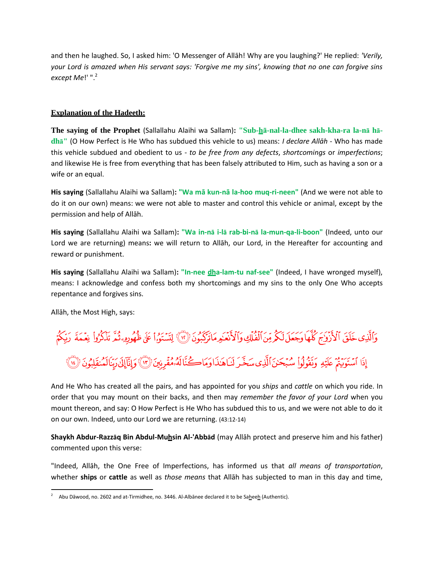and then he laughed. So, I asked him: 'O Messenger of Allāh! Why are you laughing?' He replied: *'Verily, your Lord is amazed when His servant says: 'Forgive me my sins', knowing that no one can forgive sins except Me*!' ".<sup>2</sup>

#### **Explanation of the Hadeeth:**

**The saying of the Prophet** (Sallallahu Alaihi wa Sallam)**: "Sub-hā-nal-la-dhee sakh-kha-ra la-nā hādhā"** (O How Perfect is He Who has subdued this vehicle to us) means: *I declare Allāh* - Who has made this vehicle subdued and obedient to us - *to be free from any defects*, *shortcomings* or *imperfections*; and likewise He is free from everything that has been falsely attributed to Him, such as having a son or a wife or an equal.

**His saying** (Sallallahu Alaihi wa Sallam)**: "Wa mā kun-nā la-hoo muq-ri-neen"** (And we were not able to do it on our own) means: we were not able to master and control this vehicle or animal, except by the permission and help of Allāh.

**His saying** (Sallallahu Alaihi wa Sallam)**: "Wa in-nā i-lā rab-bi-nā la-mun-qa-li-boon"** (Indeed, unto our Lord we are returning) means**:** we will return to Allāh, our Lord, in the Hereafter for accounting and reward or punishment.

**His saying** (Sallallahu Alaihi wa Sallam)**: "In-nee dha-lam-tu naf-see"** (Indeed, I have wronged myself), means: I acknowledge and confess both my shortcomings and my sins to the only One Who accepts repentance and forgives sins.

Allāh, the Most High, says:

# وَٱلَّذِي خَلَقَ ٱلْأَزْوَاجَ كُلَّهَا وَجَعَلَ لَكُمْ مِنَ ٱلْفُلَّكِ وَٱلْأَنْعَـٰدِمَاتَرَكَبُونَ ۞ لِتَسْتَوُراْ عَلَى ظُهُودِهِ ثُمَّ تَذَكَّرُواْ نِعْمَةَ رَبِّكُمُ إِذَا ٱسْتَوَيَّنَّمْ عَلَيْهِ وَبَقُولُواْ سُبْحَنَ ٱلَّذِي سَخَّرَ لِنَاهَنَا اوَمَاكُنَّا لَهُ مُقْرِنِينَ (٣) وَإِنَّاإِلَىٰ رَبِّنَالَمُنْقَلِبُونَ (٣)

And He Who has created all the pairs, and has appointed for you *ships* and *cattle* on which you ride. In order that you may mount on their backs, and then may *remember the favor of your Lord* when you mount thereon, and say: O How Perfect is He Who has subdued this to us, and we were not able to do it on our own. Indeed, unto our Lord we are returning. (43:12-14)

**Shaykh Abdur-Razzāq Bin Abdul-Muhsin Al-'Abbād** (may Allāh protect and preserve him and his father) commented upon this verse:

"Indeed, Allāh, the One Free of Imperfections, has informed us that *all means of transportation*, whether **ships** or **cattle** as well as *those means* that Allāh has subjected to man in this day and time,

 $\overline{2}$ Abu Dāwood, no. 2602 and at-Tirmidhee, no. 3446. Al-Albānee declared it to be Saheeh (Authentic).